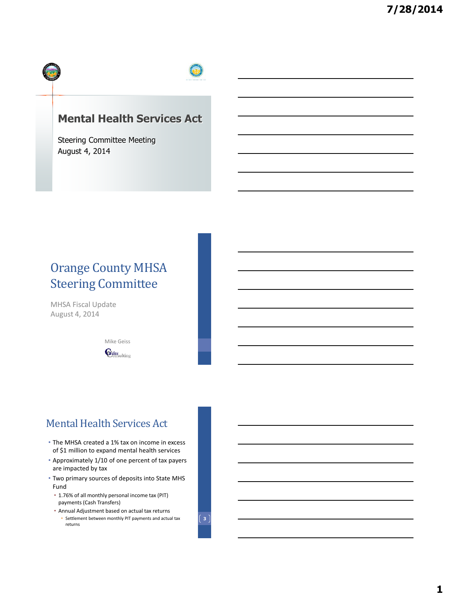

## **Mental Health Services Act**

Steering Committee Meeting August 4, 2014

# Orange County MHSA Steering Committee

MHSA Fiscal Update August 4, 2014

> Mike Geiss  $\mathbf{G}_{\text{diss}}$

## Mental Health Services Act

- The MHSA created a 1% tax on income in excess of \$1 million to expand mental health services
- Approximately 1/10 of one percent of tax payers are impacted by tax
- Two primary sources of deposits into State MHS Fund
	- 1.76% of all monthly personal income tax (PIT) payments (Cash Transfers)
	- Annual Adjustment based on actual tax returns • Settlement between monthly PIT payments and actual tax returns

**3**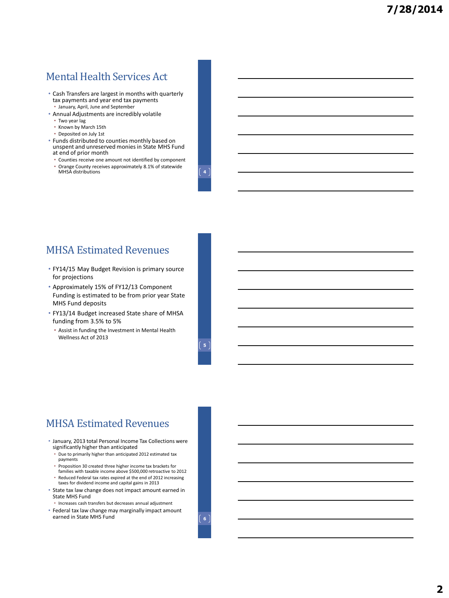## Mental Health Services Act

- Cash Transfers are largest in months with quarterly tax payments and year end tax payments • January, April, June and September
- Annual Adjustments are incredibly volatile
- Two year lag
- Known by March 15th
- Deposited on July 1st
- Funds distributed to counties monthly based on unspent and unreserved monies in State MHS Fund at end of prior month
	- Counties receive one amount not identified by component • Orange County receives approximately 8.1% of statewide MHSA distributions **4**

### MHSA Estimated Revenues

- FY14/15 May Budget Revision is primary source for projections
- Approximately 15% of FY12/13 Component Funding is estimated to be from prior year State MHS Fund deposits
- FY13/14 Budget increased State share of MHSA funding from 3.5% to 5%
	- Assist in funding the Investment in Mental Health Wellness Act of 2013

### MHSA Estimated Revenues

- January, 2013 total Personal Income Tax Collections were significantly higher than anticipated
	- Due to primarily higher than anticipated 2012 estimated tax payments
	- Proposition 30 created three higher income tax brackets for families with taxable income above \$500,000 retroactive to 2012
	- Reduced Federal tax rates expired at the end of 2012 increasing taxes for dividend income and capital gains in 2013
- State tax law change does not impact amount earned in State MHS Fund
- Increases cash transfers but decreases annual adjustment
- Federal tax law change may marginally impact amount earned in State MHS Fund **6 6 6**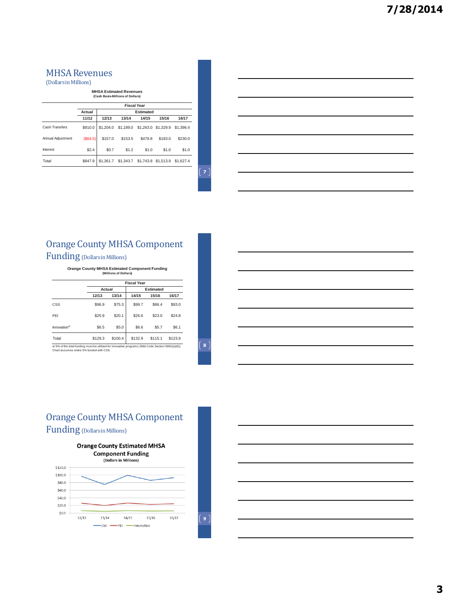### MHSA Revenues

(Dollars in Millions)

**MHSA Estimated Revenues (Cash Basis-Millions of Dollars)**

|                   | <b>Fiscal Year</b> |                  |           |         |                     |           |  |  |
|-------------------|--------------------|------------------|-----------|---------|---------------------|-----------|--|--|
|                   | Actual             | <b>Estimated</b> |           |         |                     |           |  |  |
|                   | 11/12              | 12/13            | 13/14     | 14/15   | 15/16               | 16/17     |  |  |
| Cash Transfers    | \$910.0            | \$1,204.0        | \$1,189.0 |         | \$1,263.0 \$1,329.9 | \$1,396.4 |  |  |
| Annual Adiustment | (S64.5)            | \$157.0          | \$153.5   | \$479.8 | \$183.0             | \$230.0   |  |  |
| Interest          | \$2.4              | \$0.7            | \$1.2     | \$1.0   | \$1.0               | \$1.0     |  |  |
| Total             | \$847.9            | \$1,361.7        | \$1,343.7 |         | \$1,743.8 \$1,513.9 | \$1,627.4 |  |  |

 $\left( \,$  7  $\right)$ 

### Orange County MHSA Component Funding (Dollars in Millions)

**Orange County MHSA Estimated Component Funding (Millions of Dollars)**

|                                                                                                    | <b>Fiscal Year</b> |         |                  |         |         |  |  |  |
|----------------------------------------------------------------------------------------------------|--------------------|---------|------------------|---------|---------|--|--|--|
|                                                                                                    | Actual             |         | <b>Estimated</b> |         |         |  |  |  |
|                                                                                                    | 12/13              | 13/14   | 14/15            | 15/16   | 16/17   |  |  |  |
| CSS                                                                                                | \$96.9             | \$75.3  | \$99.7           | \$86.4  | \$93.0  |  |  |  |
| PFI                                                                                                | \$25.9             | \$20.1  | \$26.6           | \$23.0  | \$24.8  |  |  |  |
| Innovation <sup>a/</sup>                                                                           | \$6.5              | \$5.0   | \$6.6            | \$5.7   | \$6.1   |  |  |  |
| Total                                                                                              | \$129.3            | \$100.4 | \$132.9          | \$115.1 | \$123.9 |  |  |  |
| a/ 5% of the total funding must be utilized for innovative programs (W&I Code Section 5892(a)(6)). |                    |         |                  |         |         |  |  |  |

a/ 5% of the total funding must be utilized for innovative programs (W&I Code Section 5892(a)(6)). Chart assumes entire 5% funded with CSS.

**8**

### Orange County MHSA Component Funding (Dollars in Millions)





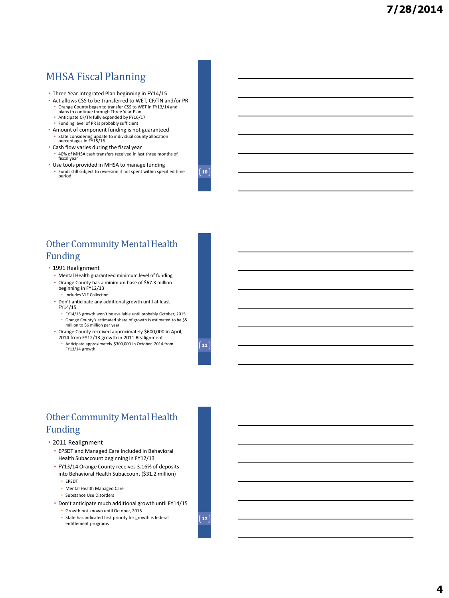### MHSA Fiscal Planning

- Three Year Integrated Plan beginning in FY14/15
- Act allows CSS to be transferred to WET, CF/TN and/or PR • Orange County began to transfer CSS to WET in FY13/14 and plans to continue through Three Year Plan
	- Anticipate CF/TN fully expended by FY16/17
	- Funding level of PR is probably sufficient
- Amount of component funding is not guaranteed • State considering update to individual county allocation percentages in FY15/16

• Use tools provided in MHSA to manage funding • Funds still subject to reversion if not spent within specified time

• Cash flow varies during the fiscal year • 40% of MHSA cash transfers received in last three months of fiscal year

**10**

### Other Community Mental Health Funding

• 1991 Realignment

FY13/14 growth

period

- Mental Health guaranteed minimum level of funding
- Orange County has a minimum base of \$67.3 million beginning in FY12/13 • Includes VLF Collection
- Don't anticipate any additional growth until at least FY14/15
	- FY14/15 growth won't be available until probably October, 2015 • Orange County's estimated share of growth is estimated to be \$5 million to \$6 million per year
- Orange County received approximately \$600,000 in April, 2014 from FY12/13 growth in 2011 Realignment • Anticipate approximately \$300,000 in October, 2014 from

 $\boxed{11}$ 

### Other Community Mental Health Funding

#### • 2011 Realignment

- EPSDT and Managed Care included in Behavioral Health Subaccount beginning in FY12/13
- FY13/14 Orange County receives 3.16% of deposits into Behavioral Health Subaccount (\$31.2 million)
	- EPSDT
	- Mental Health Managed Care
	- Substance Use Disorders
- Don't anticipate much additional growth until FY14/15
	- Growth not known until October, 2015
	- State has indicated first priority for growth is federal entitlement programs

**12**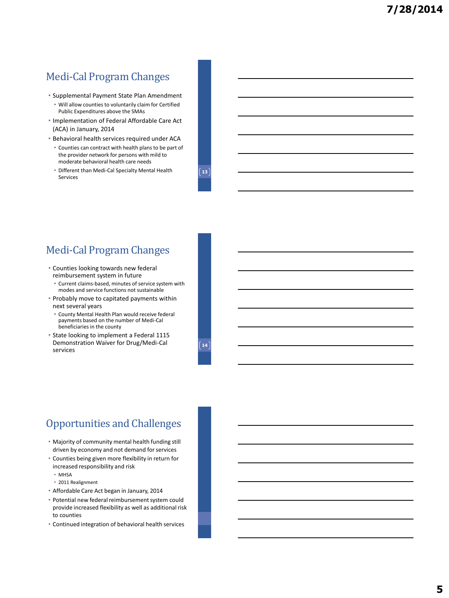### Medi-Cal Program Changes

- Supplemental Payment State Plan Amendment
- Will allow counties to voluntarily claim for Certified Public Expenditures above the SMAs
- Implementation of Federal Affordable Care Act (ACA) in January, 2014
- Behavioral health services required under ACA
- Counties can contract with health plans to be part of the provider network for persons with mild to moderate behavioral health care needs
- Different than Medi-Cal Specialty Mental Health Services

**13**

## Medi-Cal Program Changes

- Counties looking towards new federal reimbursement system in future
- Current claims-based, minutes of service system with modes and service functions not sustainable
- Probably move to capitated payments within next several years
	- County Mental Health Plan would receive federal payments based on the number of Medi-Cal beneficiaries in the county
- State looking to implement a Federal 1115 Demonstration Waiver for Drug/Medi-Cal services

**14**

### Opportunities and Challenges

- Majority of community mental health funding still driven by economy and not demand for services
- Counties being given more flexibility in return for increased responsibility and risk
	- MHSA
	- 2011 Realignment
- Affordable Care Act began in January, 2014
- Potential new federal reimbursement system could provide increased flexibility as well as additional risk to counties
- Continued integration of behavioral health services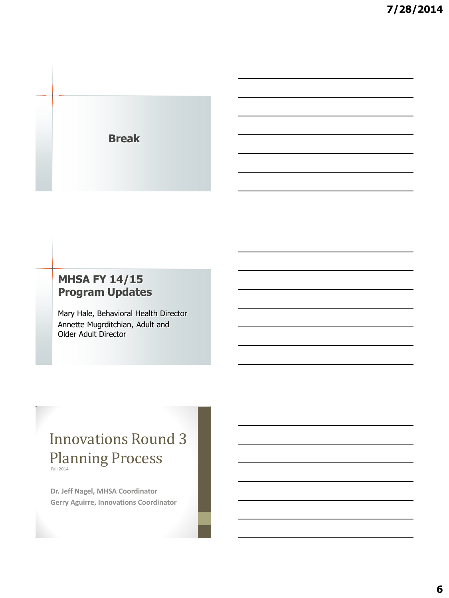**Break**

## **MHSA FY 14/15 Program Updates**

Mary Hale, Behavioral Health Director Annette Mugrditchian, Adult and Older Adult Director

# Innovations Round 3 Planning Process

**Dr. Jeff Nagel, MHSA Coordinator Gerry Aguirre, Innovations Coordinator**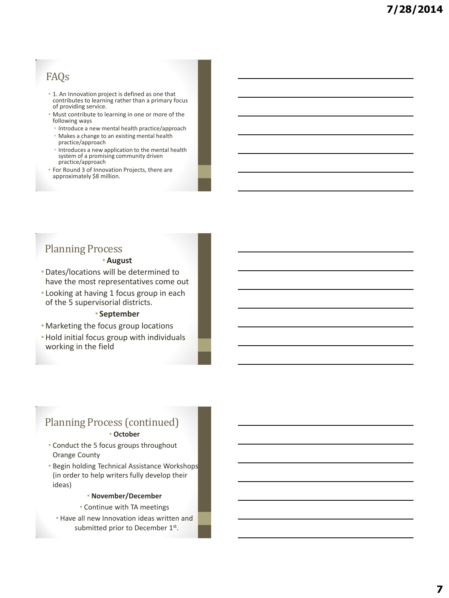## FAQs

- 1. An Innovation project is defined as one that contributes to learning rather than a primary focus of providing service.
- Must contribute to learning in one or more of the following ways
	- Introduce a new mental health practice/approach
	- Makes a change to an existing mental health practice/approach
	- Introduces a new application to the mental health system of a promising community driven practice/approach
- For Round 3 of Innovation Projects, there are approximately \$8 million.

# Planning Process

### •**August**

•Dates/locations will be determined to have the most representatives come out

• Looking at having 1 focus group in each of the 5 supervisorial districts.

### • **September**

- Marketing the focus group locations
- •Hold initial focus group with individuals working in the field

# Planning Process (continued)

### • **October**

- Conduct the 5 focus groups throughout Orange County
- Begin holding Technical Assistance Workshops (in order to help writers fully develop their ideas)

### • **November/December**

• Continue with TA meetings

• Have all new Innovation ideas written and submitted prior to December 1st.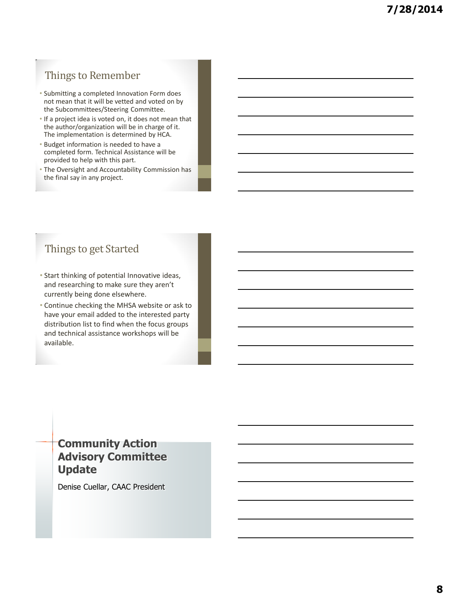# Things to Remember

- Submitting a completed Innovation Form does not mean that it will be vetted and voted on by the Subcommittees/Steering Committee.
- If a project idea is voted on, it does not mean that the author/organization will be in charge of it. The implementation is determined by HCA.
- Budget information is needed to have a completed form. Technical Assistance will be provided to help with this part.
- The Oversight and Accountability Commission has the final say in any project.

# Things to get Started

- Start thinking of potential Innovative ideas, and researching to make sure they aren't currently being done elsewhere.
- Continue checking the MHSA website or ask to have your email added to the interested party distribution list to find when the focus groups and technical assistance workshops will be available.

### **Community Action Advisory Committee Update**

Denise Cuellar, CAAC President